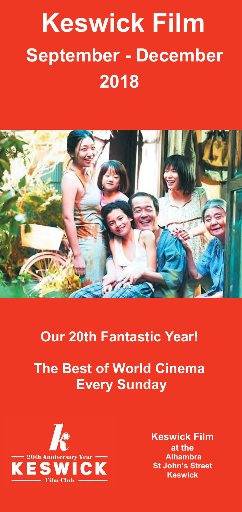# **Keswick Film September - December 2018**



## **Our 20th Fantastic Year!**

## **The Best of World Cinema Every Sunday**



**Keswick Film at the Alhambra St John's Street Keswick**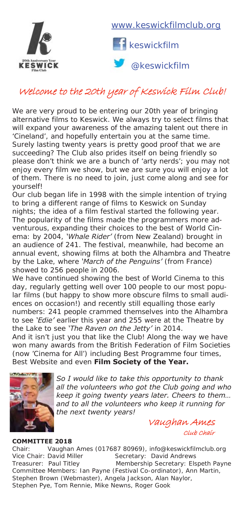

www.keswickfilmclub.org



@keswickfilm

### Welcome to the 20th year of Keswick Film Club!

We are very proud to be entering our 20th year of bringing alternative films to Keswick. We always try to select films that will expand your awareness of the amazing talent out there in 'Cineland', and hopefully entertain you at the same time. Surely lasting twenty years is pretty good proof that we are succeeding? The Club also prides itself on being friendly so please don't think we are a bunch of 'arty nerds'; you may not enjoy every film we show, but we are sure you will enjoy a lot of them. There is no need to join, just come along and see for yourself!

Our club began life in 1998 with the simple intention of trying to bring a different range of films to Keswick on Sunday nights; the idea of a film festival started the following year. The popularity of the films made the programmers more adventurous, expanding their choices to the best of World Cinema: by 2004, *'Whale Rider'* (from New Zealand) brought in an audience of 241. The festival, meanwhile, had become an annual event, showing films at both the Alhambra and Theatre by the Lake, where *'March of the Penguins'* (from France) showed to 256 people in 2006.

We have continued showing the best of World Cinema to this day, regularly getting well over 100 people to our most popular films (but happy to show more obscure films to small audiences on occasion!) and recently still equalling those early numbers: 241 people crammed themselves into the Alhambra to see *'Edie'* earlier this year and 255 were at the Theatre by the Lake to see *'The Raven on the Jetty'* in 2014.

And it isn't just you that like the Club! Along the way we have won many awards from the British Federation of Film Societies (now 'Cinema for All') including Best Programme four times, Best Website and even **Film Society of the Year.** 



*So I would like to take this opportunity to thank all the volunteers who got the Club going and who keep it going twenty years later. Cheers to them… and to all the volunteers who keep it running for the next twenty years!*

 Vaughan Ames Club Chair

#### **COMMITTEE 2018**

Chair: Vaughan Ames (017687 80969), info@keswickfilmclub.org Vice Chair: David Miller Secretary: David Andrews Treasurer: Paul Titley Membership Secretary: Elspeth Payne Committee Members: Ian Payne (Festival Co-ordinator), Ann Martin, Stephen Brown (Webmaster), Angela Jackson, Alan Naylor, Stephen Pye, Tom Rennie, Mike Newns, Roger Gook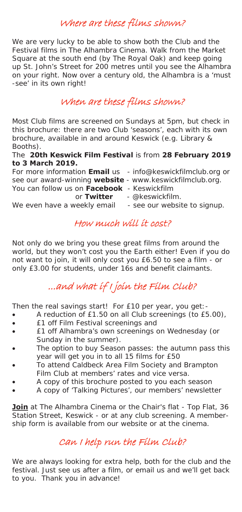### Where are these films shown?

We are very lucky to be able to show both the Club and the Festival films in The Alhambra Cinema. Walk from the Market Square at the south end (by The Royal Oak) and keep going up St. John's Street for 200 metres until you see the Alhambra on your right. Now over a century old, the Alhambra is a 'must -see' in its own right!

#### When are these films shown?

Most Club films are screened on Sundays at 5pm, but check in this brochure: there are two Club 'seasons', each with its own brochure, available in and around Keswick (e.g. Library & Booths).

#### The **20th Keswick Film Festival** is from **28 February 2019 to 3 March 2019.**

For more information **Email** us - info@keswickfilmclub.org or

- see our award-winning **website**  www.keswickfilmclub.org.
- You can follow us on **Facebook** Keswickfilm
- 
- - or **Twitter**  @keswickfilm.
		-

#### We even have a weekly email - see our website to signup.

#### How much will it cost?

Not only do we bring you these great films from around the world, but they won't cost you the Earth either! Even if you do not want to join, it will only cost you £6.50 to see a film - or only £3.00 for students, under 16s and benefit claimants.

### ...and what if I join the Film Club?

Then the real savings start! For £10 per year, you get:-

- $\bullet$  A reduction of £1.50 on all Club screenings (to £5.00),
- **•** E1 off Film Festival screenings and
- x £1 off Alhambra's own screenings on Wednesday (or Sunday in the summer).
- The option to buy Season passes: the autumn pass this year will get you in to all 15 films for £50
- To attend Caldbeck Area Film Society and Brampton Film Club at members' rates and vice versa.
- A copy of this brochure posted to you each season
- x A copy of 'Talking Pictures', our members' newsletter

**Join** at The Alhambra Cinema or the Chair's flat - Top Flat, 36 Station Street, Keswick - or at any club screening. A membership form is available from our website or at the cinema.

#### Can I help run the Film Club?

We are always looking for extra help, both for the club and the festival. Just see us after a film, or email us and we'll get back to you. Thank you in advance!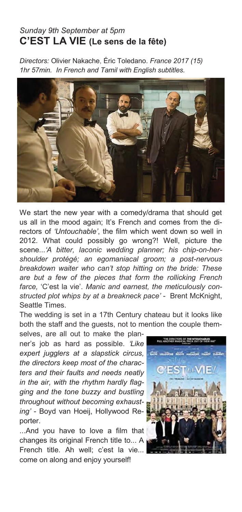#### *Sunday 9th September at 5pm*  **C'EST LA VIE (Le sens de la fête)**

*Directors:* Olivier Nakache, Éric Toledano. *France 2017 (15) 1hr 57min. In French and Tamil with English subtitles.*



We start the new year with a comedy/drama that should get us all in the mood again; It's French and comes from the directors of *'Untouchable'*, the film which went down so well in 2012. What could possibly go wrong?! Well, picture the scene...*'A bitter, laconic wedding planner; his chip-on-hershoulder protégé; an egomaniacal groom; a post-nervous breakdown waiter who can't stop hitting on the bride: These are but a few of the pieces that form the rollicking French farce,* 'C'est la vie'. *Manic and earnest, the meticulously constructed plot whips by at a breakneck pace'* - Brent McKnight, Seattle Times.

The wedding is set in a 17th Century chateau but it looks like both the staff and the guests, not to mention the couple them-

selves, are all out to make the planner's job as hard as possible. *'Like expert jugglers at a slapstick circus, the directors keep most of the characters and their faults and needs neatly in the air, with the rhythm hardly flagging and the tone buzzy and bustling throughout without becoming exhausting'* - Boyd van Hoeij, Hollywood Reporter.

...And you have to love a film that changes its original French title to... A French title. Ah well; c'est la vie... come on along and enjoy yourself!

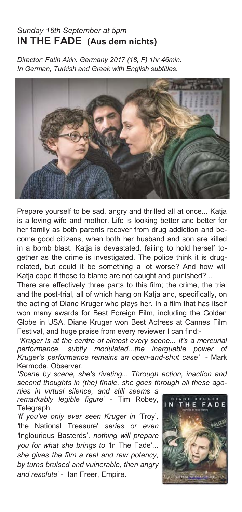#### *Sunday 16th September at 5pm*  **IN THE FADE (Aus dem nichts)**

*Director: Fatih Akin. Germany 2017 (18, F) 1hr 46min. In German, Turkish and Greek with English subtitles.* 



Prepare yourself to be sad, angry and thrilled all at once... Katja is a loving wife and mother. Life is looking better and better for her family as both parents recover from drug addiction and become good citizens, when both her husband and son are killed in a bomb blast. Katja is devastated, failing to hold herself together as the crime is investigated. The police think it is drugrelated, but could it be something a lot worse? And how will Katia cope if those to blame are not caught and punished?...

There are effectively three parts to this film; the crime, the trial and the post-trial, all of which hang on Katia and, specifically, on the acting of Diane Kruger who plays her. In a film that has itself won many awards for Best Foreign Film, including the Golden Globe in USA, Diane Kruger won Best Actress at Cannes Film Festival, and huge praise from every reviewer I can find:-

*'Kruger is at the centre of almost every scene... It's a mercurial performance, subtly modulated*...*the inarguable power of Kruger's performance remains an open-and-shut case'* - Mark Kermode, Observer.

*'Scene by scene, she's riveting... Through action, inaction and second thoughts in (the) finale, she goes through all these ago-*

*nies in virtual silence, and still seems a remarkably legible figure'* - Tim Robey, Telegraph.

*'If you've only ever seen Kruger in '*Troy'*, '*the National Treasure' *series or even '*Inglourious Basterds'*, nothing will prepare you for what she brings to '*In The Fade'*... she gives the film a real and raw potency, by turns bruised and vulnerable, then angry and resolute'* - Ian Freer, Empire.

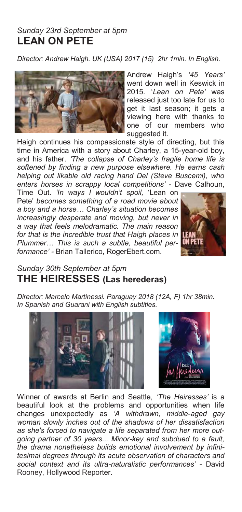#### *Sunday 23rd September at 5pm*  **LEAN ON PETE**

*Director: Andrew Haigh. UK (USA) 2017 (15) 2hr 1min. In English.* 



Andrew Haigh's *'45 Years'* went down well in Keswick in 2015. '*Lean on Pete'* was released just too late for us to get it last season; it gets a viewing here with thanks to one of our members who suggested it.

Haigh continues his compassionate style of directing, but this time in America with a story about Charley, a 15-year-old boy, and his father. *'The collapse of Charley's fragile home life is softened by finding a new purpose elsewhere. He earns cash helping out likable old racing hand Del (Steve Buscemi), who enters horses in scrappy local competitions'* - Dave Calhoun,

Time Out. *'In ways I wouldn't spoil,* 'Lean on Pete' *becomes something of a road movie about a boy and a horse… Charley's situation becomes increasingly desperate and moving, but never in a way that feels melodramatic. The main reason for that is the incredible trust that Haigh places in Plummer… This is such a subtle, beautiful performance' -* Brian Tallerico, RogerEbert.com.



#### *Sunday 30th September at 5pm*  **THE HEIRESSES (Las herederas)**

*Director: Marcelo Martinessi. Paraguay 2018 (12A, F) 1hr 38min. In Spanish and Guarani with English subtitles.* 





Winner of awards at Berlin and Seattle, *'The Heiresses'* is a beautiful look at the problems and opportunities when life changes unexpectedly as *'A withdrawn, middle-aged gay woman slowly inches out of the shadows of her dissatisfaction as she's forced to navigate a life separated from her more outgoing partner of 30 years... Minor-key and subdued to a fault, the drama nonetheless builds emotional involvement by infinitesimal degrees through its acute observation of characters and social context and its ultra-naturalistic performances'* - David Rooney, Hollywood Reporter.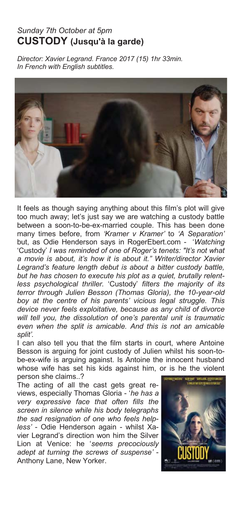#### *Sunday 7th October at 5pm*  **CUSTODY (Jusqu'à la garde)**

*Director: Xavier Legrand. France 2017 (15) 1hr 33min. In French with English subtitles.* 



It feels as though saying anything about this film's plot will give too much away; let's just say we are watching a custody battle between a soon-to-be-ex-married couple. This has been done many times before, from *'Kramer v Kramer'* to *'A Separation'*  but, as Odie Henderson says in RogerEbert.com - '*Watching*  'Custody' *I was reminded of one of Roger's tenets: "It's not what a movie is about, it's how it is about it." Writer/director Xavier Legrand's feature length debut is about a bitter custody battle, but he has chosen to execute his plot as a quiet, brutally relentless psychological thriller.* 'Custody' *filters the majority of its terror through Julien Besson (Thomas Gloria), the 10-year-old boy at the centre of his parents' vicious legal struggle. This device never feels exploitative, because as any child of divorce will tell you, the dissolution of one's parental unit is traumatic even when the split is amicable. And this is not an amicable split'.* 

I can also tell you that the film starts in court, where Antoine Besson is arguing for joint custody of Julien whilst his soon-tobe-ex-wife is arguing against. Is Antoine the innocent husband whose wife has set his kids against him, or is he the violent person she claims..?

The acting of all the cast gets great reviews, especially Thomas Gloria - '*he has a very expressive face that often fills the screen in silence while his body telegraphs the sad resignation of one who feels helpless'* - Odie Henderson again - whilst Xavier Legrand's direction won him the Silver Lion at Venice: he '*seems precociously adept at turning the screws of suspense'* - Anthony Lane, New Yorker.

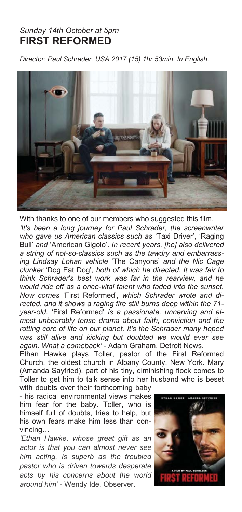#### *Sunday 14th October at 5pm*  **FIRST REFORMED**

*Director: Paul Schrader. USA 2017 (15) 1hr 53min. In English.* 



With thanks to one of our members who suggested this film.

*'It's been a long journey for Paul Schrader, the screenwriter who gave us American classics such as* 'Taxi Driver', 'Raging Bull' *and* 'American Gigolo'. *In recent years, [he] also delivered a string of not-so-classics such as the tawdry and embarrassing Lindsay Lohan vehicle* 'The Canyons' *and the Nic Cage clunker* 'Dog Eat Dog', *both of which he directed. It was fair to think Schrader's best work was far in the rearview, and he would ride off as a once-vital talent who faded into the sunset. Now comes* 'First Reformed', *which Schrader wrote and directed, and it shows a raging fire still burns deep within the 71 year-old.* 'First Reformed' *is a passionate, unnerving and almost unbearably tense drama about faith, conviction and the rotting core of life on our planet. It's the Schrader many hoped was still alive and kicking but doubted we would ever see again. What a comeback'* - Adam Graham, Detroit News.

Ethan Hawke plays Toller, pastor of the First Reformed Church, the oldest church in Albany County, New York. Mary (Amanda Sayfried), part of his tiny, diminishing flock comes to Toller to get him to talk sense into her husband who is beset with doubts over their forthcoming baby

- his radical environmental views makes him fear for the baby. Toller, who is himself full of doubts, tries to help, but his own fears make him less than convincing…

*'Ethan Hawke, whose great gift as an actor is that you can almost never see him acting, is superb as the troubled pastor who is driven towards desperate acts by his concerns about the world around him'* - Wendy Ide, Observer.

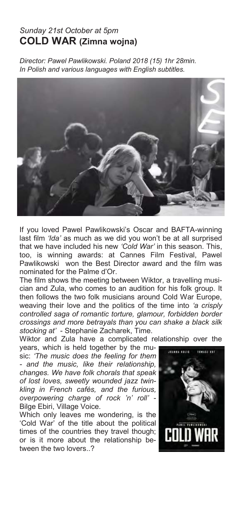#### *Sunday 21st October at 5pm*  **COLD WAR (Zimna wojna)**

*Director: Pawel Pawlikowski. Poland 2018 (15) 1hr 28min. In Polish and various languages with English subtitles.* 



If you loved Pawel Pawlikowski's Oscar and BAFTA-winning last film *'Ida'* as much as we did you won't be at all surprised that we have included his new *'Cold War'* in this season. This, too, is winning awards: at Cannes Film Festival, Pawel Pawlikowski won the Best Director award and the film was nominated for the Palme d'Or.

The film shows the meeting between Wiktor, a travelling musician and Zula, who comes to an audition for his folk group. It then follows the two folk musicians around Cold War Europe, weaving their love and the politics of the time into *'a crisply controlled saga of romantic torture, glamour, forbidden border crossings and more betrayals than you can shake a black silk stocking at'* - Stephanie Zacharek, Time.

Wiktor and Zula have a complicated relationship over the

years, which is held together by the music: *'The music does the feeling for them - and the music, like their relationship, changes. We have folk chorals that speak of lost loves, sweetly wounded jazz twinkling in French cafés, and the furious, overpowering charge of rock 'n' roll'* - Bilge Ebiri, Village Voice.

Which only leaves me wondering, is the 'Cold War' of the title about the political times of the countries they travel though; or is it more about the relationship between the two lovers..?

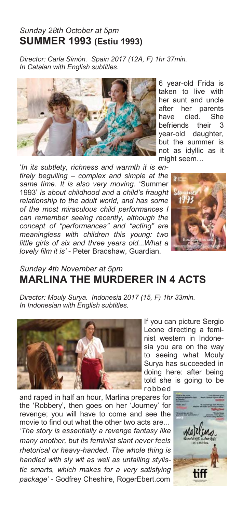#### *Sunday 28th October at 5pm*  **SUMMER 1993 (Estiu 1993)**

*Director: Carla Simón. Spain 2017 (12A, F) 1hr 37min. In Catalan with English subtitles.* 



'*In its subtlety, richness and warmth it is entirely beguiling – complex and simple at the same time. It is also very moving.* 'Summer 1993' *is about childhood and a child's fraught relationship to the adult world, and has some of the most miraculous child performances I can remember seeing recently, although the concept of "performances" and "acting" are meaningless with children this young: two little girls of six and three years old...What a lovely film it is'* - Peter Bradshaw, Guardian.





#### *Sunday 4th November at 5pm*  **MARLINA THE MURDERER IN 4 ACTS**

*Director: Mouly Surya. Indonesia 2017 (15, F) 1hr 33min. In Indonesian with English subtitles.* 



and raped in half an hour, Marlina prepares for the 'Robbery', then goes on her 'Journey' for revenge; you will have to come and see the movie to find out what the other two acts are... *'The story is essentially a revenge fantasy like many another, but its feminist slant never feels rhetorical or heavy-handed. The whole thing is handled with sly wit as well as unfailing stylistic smarts, which makes for a very satisfying package'* - Godfrey Cheshire, RogerEbert.com

If you can picture Sergio Leone directing a feminist western in Indonesia you are on the way to seeing what Mouly Surya has succeeded in doing here: after being told she is going to be robbed

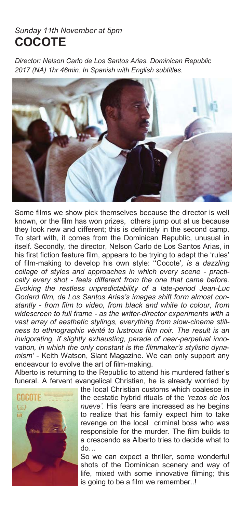#### *Sunday 11th November at 5pm*  **COCOTE**

*Director: Nelson Carlo de Los Santos Arias. Dominican Republic 2017 (NA) 1hr 46min. In Spanish with English subtitles.* 



Some films we show pick themselves because the director is well known, or the film has won prizes, others jump out at us because they look new and different; this is definitely in the second camp. To start with, it comes from the Dominican Republic, unusual in itself. Secondly, the director, Nelson Carlo de Los Santos Arias, in his first fiction feature film, appears to be trying to adapt the 'rules' of film-making to develop his own style: ''Cocote'*, is a dazzling collage of styles and approaches in which every scene - practically every shot - feels different from the one that came before. Evoking the restless unpredictability of a late-period Jean-Luc Godard film, de Los Santos Arias's images shift form almost constantly - from film to video, from black and white to colour, from widescreen to full frame - as the writer-director experiments with a vast array of aesthetic stylings, everything from slow-cinema stillness to ethnographic vérité to lustrous film noir. The result is an invigorating, if slightly exhausting, parade of near-perpetual innovation, in which the only constant is the filmmaker's stylistic dynamism'* - Keith Watson, Slant Magazine. We can only support any endeavour to evolve the art of film-making.

Alberto is returning to the Republic to attend his murdered father's funeral. A fervent evangelical Christian, he is already worried by



the local Christian customs which coalesce in the ecstatic hybrid rituals of the *'rezos de los nueve'.* His fears are increased as he begins to realize that his family expect him to take revenge on the local criminal boss who was responsible for the murder. The film builds to a crescendo as Alberto tries to decide what to do…

So we can expect a thriller, some wonderful shots of the Dominican scenery and way of life, mixed with some innovative filming; this is going to be a film we remember..!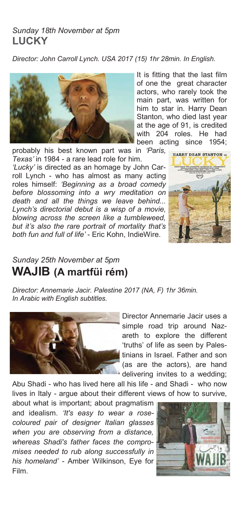#### *Sunday 18th November at 5pm*  **LUCKY**

*Director: John Carroll Lynch. USA 2017 (15) 1hr 28min. In English.* 



of one the great character actors, who rarely took the main part, was written for him to star in. Harry Dean Stanton, who died last year at the age of 91, is credited with 204 roles. He had been acting since 1954;

It is fitting that the last film

probably his best known part was in *'Paris, Texas'* in 1984 - a rare lead role for him.

*'Lucky'* is directed as an homage by John Carroll Lynch - who has almost as many acting roles himself: *'Beginning as a broad comedy before blossoming into a wry meditation on death and all the things we leave behind... Lynch's directorial debut is a wisp of a movie, blowing across the screen like a tumbleweed, but it's also the rare portrait of mortality that's both fun and full of life'* - Eric Kohn, IndieWire.



### *Sunday 25th November at 5pm*  **WAJIB (A martfüi rém)**

*Director: Annemarie Jacir. Palestine 2017 (NA, F) 1hr 36min. In Arabic with English subtitles.* 



Director Annemarie Jacir uses a simple road trip around Nazareth to explore the different 'truths' of life as seen by Palestinians in Israel. Father and son (as are the actors), are hand delivering invites to a wedding;

Abu Shadi - who has lived here all his life - and Shadi - who now lives in Italy - argue about their different views of how to survive,

about what is important; about pragmatism and idealism. *'It's easy to wear a rosecoloured pair of designer Italian glasses when you are observing from a distance, whereas Shadi's father faces the compromises needed to rub along successfully in his homeland'* - Amber Wilkinson, Eye for Film.

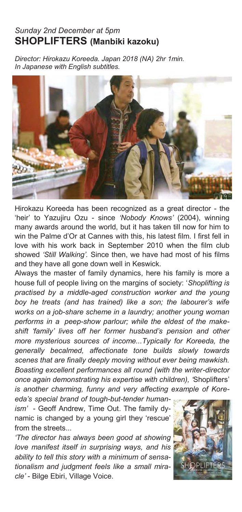#### *Sunday 2nd December at 5pm*  **SHOPLIFTERS (Manbiki kazoku)**

*Director: Hirokazu Koreeda. Japan 2018 (NA) 2hr 1min. In Japanese with English subtitles.* 



Hirokazu Koreeda has been recognized as a great director - the 'heir' to Yazujiru Ozu - since *'Nobody Knows'* (2004), winning many awards around the world, but it has taken till now for him to win the Palme d'Or at Cannes with this, his latest film. I first fell in love with his work back in September 2010 when the film club showed *'Still Walking'.* Since then, we have had most of his films and they have all gone down well in Keswick.

Always the master of family dynamics, here his family is more a house full of people living on the margins of society: '*Shoplifting is practised by a middle-aged construction worker and the young boy he treats (and has trained) like a son; the labourer's wife works on a job-share scheme in a laundry; another young woman performs in a peep-show parlour; while the eldest of the makeshift 'family' lives off her former husband's pension and other more mysterious sources of income...Typically for Koreeda, the generally becalmed, affectionate tone builds slowly towards scenes that are finally deeply moving without ever being mawkish. Boasting excellent performances all round (with the writer-director once again demonstrating his expertise with children), '*Shoplifters' *is another charming, funny and very affecting example of Kore-*

*eda's special brand of tough-but-tender humanism'* - Geoff Andrew, Time Out. The family dynamic is changed by a young girl they 'rescue' from the streets...

*'The director has always been good at showing love manifest itself in surprising ways, and his ability to tell this story with a minimum of sensationalism and judgment feels like a small miracle'* - Bilge Ebiri, Village Voice.

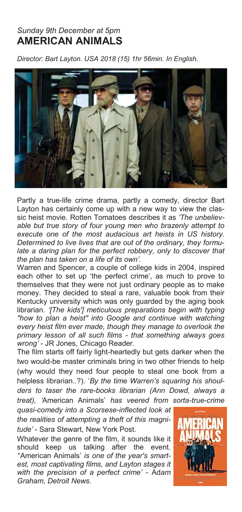#### *Sunday 9th December at 5pm*  **AMERICAN ANIMALS**

*Director: Bart Layton. USA 2018 (15) 1hr 56min. In English.* 



Partly a true-life crime drama, partly a comedy, director Bart Layton has certainly come up with a new way to view the classic heist movie. Rotten Tomatoes describes it as *'The unbelievable but true story of four young men who brazenly attempt to execute one of the most audacious art heists in US history. Determined to live lives that are out of the ordinary, they formu*late a daring plan for the perfect robbery, only to discover that *the plan has taken on a life of its own'.*

Warren and Spencer, a couple of college kids in 2004, inspired each other to set up 'the perfect crime', as much to prove to themselves that they were not just ordinary people as to make money. They decided to steal a rare, valuable book from their Kentucky university which was only guarded by the aging book librarian. *'[The kids'] meticulous preparations begin with typing "how to plan a heist" into Google and continue with watching every heist film ever made, though they manage to overlook the primary lesson of all such films - that something always goes wrong'* - JR Jones, Chicago Reader.

The film starts off fairly light-heartedly but gets darker when the two would-be master criminals bring in two other friends to help (why would they need four people to steal one book from a helpless librarian..?). '*By the time Warren's squaring his shoulders to taser the rare-books librarian (Ann Dowd, always a treat), '*American Animals' *has veered from sorta-true-crime* 

*quasi-comedy into a Scorsese-inflected look at the realities of attempting a theft of this magnitude'* - Sara Stewart, New York Post.

Whatever the genre of the film, it sounds like it should keep us talking after the event. *'*'American Animals' *is one of the year's smartest, most captivating films, and Layton stages it with the precision of a perfect crime'* - Ad*am Graham, Detroit News.* 

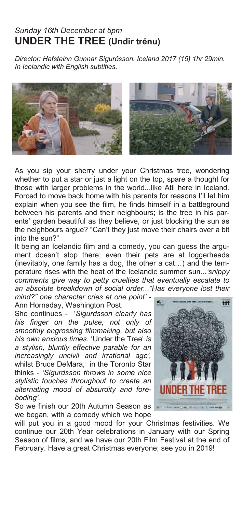#### *Sunday 16th December at 5pm*  **UNDER THE TREE (Undir trénu)**

*Director: Hafsteinn Gunnar Sigurðsson. Iceland 2017 (15) 1hr 29min. In Icelandic with English subtitles.* 



As you sip your sherry under your Christmas tree, wondering whether to put a star or just a light on the top, spare a thought for those with larger problems in the world...like Atli here in Iceland. Forced to move back home with his parents for reasons I'll let him explain when you see the film, he finds himself in a battleground between his parents and their neighbours; is the tree in his parents' garden beautiful as they believe, or just blocking the sun as the neighbours argue? "Can't they just move their chairs over a bit into the sun?"

It being an Icelandic film and a comedy, you can guess the argument doesn't stop there; even their pets are at loggerheads (inevitably, one family has a dog, the other a cat…) and the temperature rises with the heat of the Icelandic summer sun...*'snippy comments give way to petty cruelties that eventually escalate to an absolute breakdown of social order..."Has everyone lost their mind?" one character cries at one point'* -

Ann Hornaday, Washington Post.

She continues - '*Sigurdsson clearly has his finger on the pulse, not only of smoothly engrossing filmmaking, but also his own anxious times.* 'Under the Tree' *is a stylish, bluntly effective parable for an increasingly uncivil and irrational age',*  whilst Bruce DeMara, in the Toronto Star thinks - *'Sigurdsson throws in some nice stylistic touches throughout to create an alternating mood of absurdity and foreboding'.*

So we finish our 20th Autumn Season as we began, with a comedy which we hope



will put you in a good mood for your Christmas festivities. We continue our 20th Year celebrations in January with our Spring Season of films, and we have our 20th Film Festival at the end of February. Have a great Christmas everyone; see you in 2019!